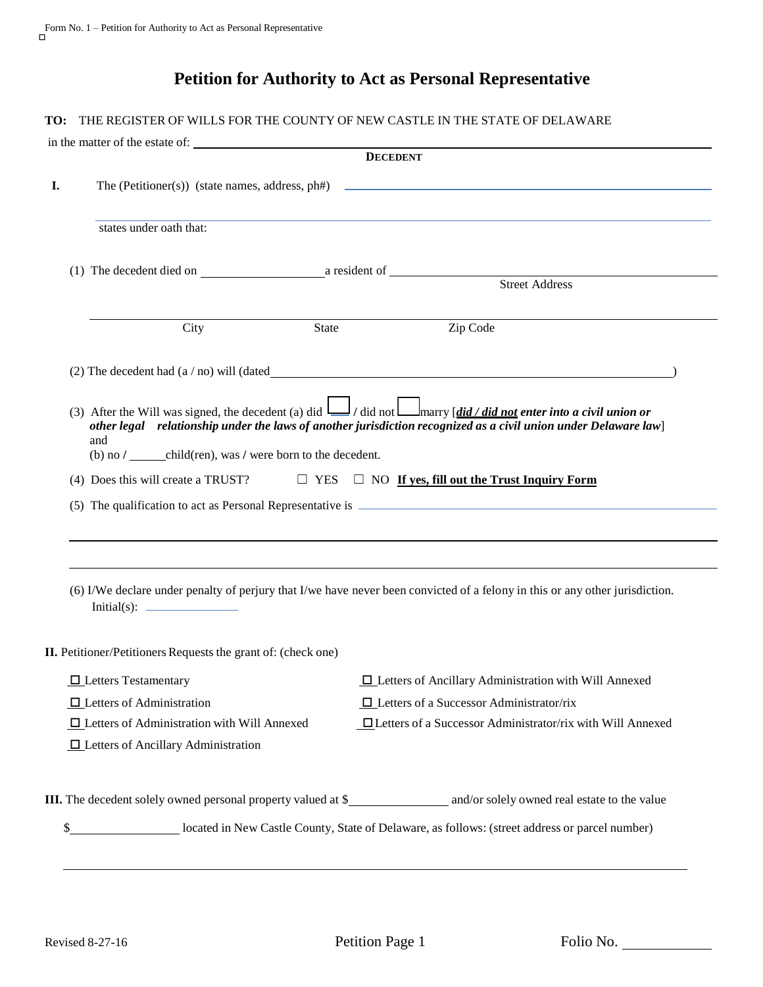## **Petition for Authority to Act as Personal Representative**

## **TO:** THE REGISTER OF WILLS FOR THE COUNTY OF NEW CASTLE IN THE STATE OF DELAWARE

| in the matter of the estate of: |                                                                                                                | <b>DECEDENT</b> |                                                                                                                                                                                                                                                 |  |  |
|---------------------------------|----------------------------------------------------------------------------------------------------------------|-----------------|-------------------------------------------------------------------------------------------------------------------------------------------------------------------------------------------------------------------------------------------------|--|--|
|                                 | The (Petitioner(s)) (state names, address, ph#)                                                                |                 |                                                                                                                                                                                                                                                 |  |  |
|                                 | states under oath that:                                                                                        |                 |                                                                                                                                                                                                                                                 |  |  |
|                                 |                                                                                                                |                 | <b>Street Address</b>                                                                                                                                                                                                                           |  |  |
|                                 | City                                                                                                           | State           | Zip Code                                                                                                                                                                                                                                        |  |  |
|                                 |                                                                                                                |                 |                                                                                                                                                                                                                                                 |  |  |
|                                 | and<br>(b) no $\frac{1}{\sqrt{1 - x^2}}$ child(ren), was $\frac{1}{\sqrt{1 - x^2}}$ were born to the decedent. |                 | (3) After the Will was signed, the decedent (a) did $\Box$ / did not $\Box$ marry [did / did not enter into a civil union or<br>other legal relationship under the laws of another jurisdiction recognized as a civil union under Delaware law] |  |  |
|                                 |                                                                                                                |                 |                                                                                                                                                                                                                                                 |  |  |
|                                 | (4) Does this will create a TRUST? $\square$ YES $\square$ NO If yes, fill out the Trust Inquiry Form          |                 |                                                                                                                                                                                                                                                 |  |  |
|                                 |                                                                                                                |                 |                                                                                                                                                                                                                                                 |  |  |
|                                 |                                                                                                                |                 |                                                                                                                                                                                                                                                 |  |  |
|                                 |                                                                                                                |                 | (6) I/We declare under penalty of perjury that I/we have never been convicted of a felony in this or any other jurisdiction.                                                                                                                    |  |  |
|                                 | <b>II.</b> Petitioner/Petitioners Requests the grant of: (check one)                                           |                 |                                                                                                                                                                                                                                                 |  |  |
|                                 | $\Box$ Letters Testamentary                                                                                    |                 | <b>I</b> Letters of Ancillary Administration with Will Annexed                                                                                                                                                                                  |  |  |
|                                 | $\Box$ Letters of Administration                                                                               |                 | $\Box$ Letters of a Successor Administrator/rix                                                                                                                                                                                                 |  |  |
|                                 | $\Box$ Letters of Administration with Will Annexed                                                             |                 | <b>ID</b> Letters of a Successor Administrator/rix with Will Annexed                                                                                                                                                                            |  |  |
|                                 | $\Box$ Letters of Ancillary Administration                                                                     |                 |                                                                                                                                                                                                                                                 |  |  |
|                                 |                                                                                                                |                 |                                                                                                                                                                                                                                                 |  |  |